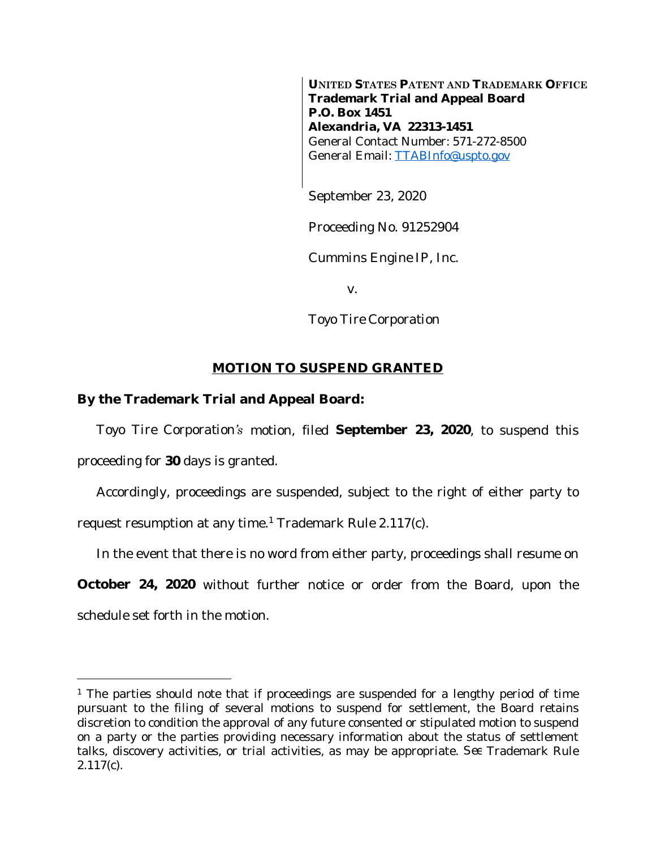**UNITED STATES PATENT AND TRADEMARK OFFICE Trademark Trial and Appeal Board P.O. Box 1451 Alexandria, VA 22313-1451** General Contact Number: 571-272-8500 General Email: [TTABInfo@uspto.gov](mailto:TTABInfo@uspto.gov)

September 23, 2020

Proceeding No. 91252904

*Cummins Engine IP, Inc.*

v.

*Toyo Tire Corporation*

## **MOTION TO SUSPEND GRANTED**

## **By the Trademark Trial and Appeal Board:**

*Toyo Tire Corporation's* motion, filed **September 23, 2020**, to suspend this proceeding for **30** days is granted.

Accordingly, proceedings are suspended, subject to the right of either party to request resumption at any time.<sup>1</sup> Trademark Rule 2.117(c).

In the event that there is no word from either party, proceedings shall resume on

**October 24, 2020** without further notice or order from the Board, upon the schedule set forth in the motion.

<sup>&</sup>lt;sup>1</sup> The parties should note that if proceedings are suspended for a lengthy period of time pursuant to the filing of several motions to suspend for settlement, the Board retains discretion to condition the approval of any future consented or stipulated motion to suspend on a party or the parties providing necessary information about the status of settlement talks, discovery activities, or trial activities, as may be appropriate. *See* Trademark Rule 2.117(c).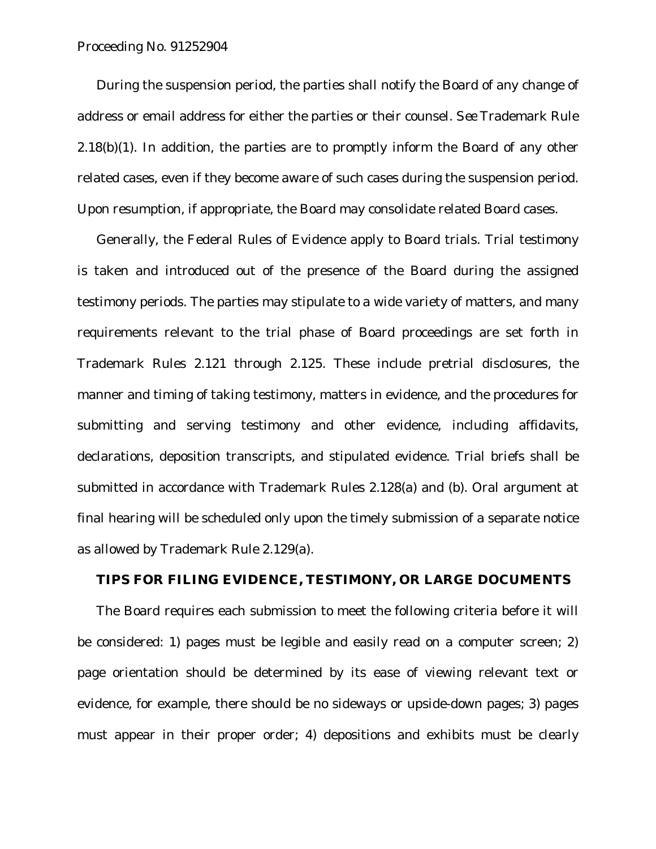## Proceeding No. 91252904

During the suspension period, the parties shall notify the Board of any change of address or email address for either the parties or their counsel. *See* Trademark Rule  $2.18(b)(1)$ . In addition, the parties are to promptly inform the Board of any other related cases, even if they become aware of such cases during the suspension period. Upon resumption, if appropriate, the Board may consolidate related Board cases.

Generally, the Federal Rules of Evidence apply to Board trials. Trial testimony is taken and introduced out of the presence of the Board during the assigned testimony periods. The parties may stipulate to a wide variety of matters, and many requirements relevant to the trial phase of Board proceedings are set forth in Trademark Rules 2.121 through 2.125. These include pretrial disclosures, the manner and timing of taking testimony, matters in evidence, and the procedures for submitting and serving testimony and other evidence, including affidavits, declarations, deposition transcripts, and stipulated evidence. Trial briefs shall be submitted in accordance with Trademark Rules 2.128(a) and (b). Oral argument at final hearing will be scheduled only upon the timely submission of a separate notice as allowed by Trademark Rule 2.129(a).

## **TIPS FOR FILING EVIDENCE, TESTIMONY, OR LARGE DOCUMENTS**

The Board requires each submission to meet the following criteria before it will be considered: 1) pages must be legible and easily read on a computer screen; 2) page orientation should be determined by its ease of viewing relevant text or evidence, for example, there should be no sideways or upside-down pages; 3) pages must appear in their proper order; 4) depositions and exhibits must be clearly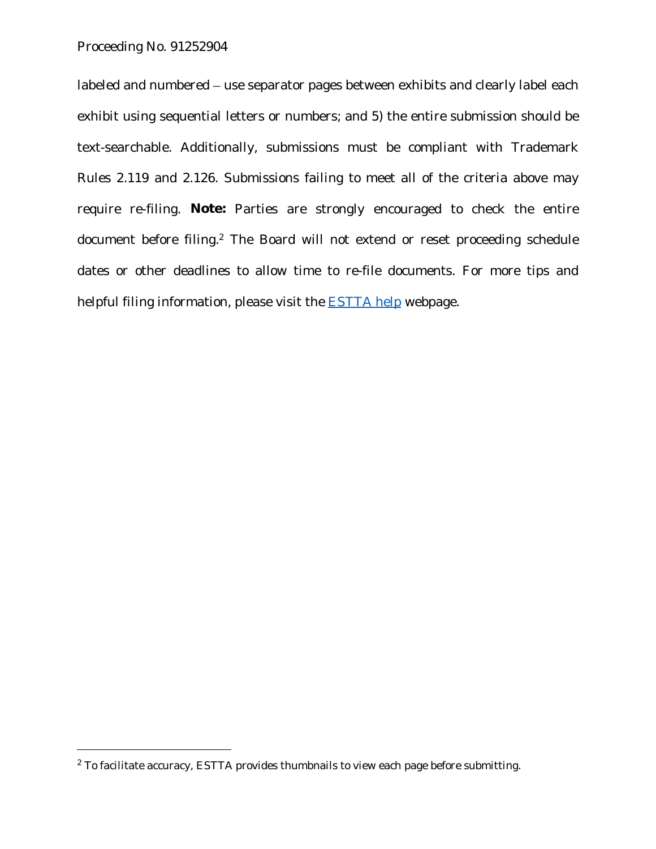labeled and numbered – use separator pages between exhibits and clearly label each exhibit using sequential letters or numbers; and 5) the entire submission should be text-searchable. Additionally, submissions must be compliant with Trademark Rules 2.119 and 2.126. Submissions failing to meet all of the criteria above may require re-filing. **Note:** Parties are strongly encouraged to check the entire document before filing.<sup>2</sup> The Board will not extend or reset proceeding schedule dates or other deadlines to allow time to re-file documents. For more tips and helpful filing information, please visit the **ESTTA** help webpage.

 $2$  To facilitate accuracy, ESTTA provides thumbnails to view each page before submitting.